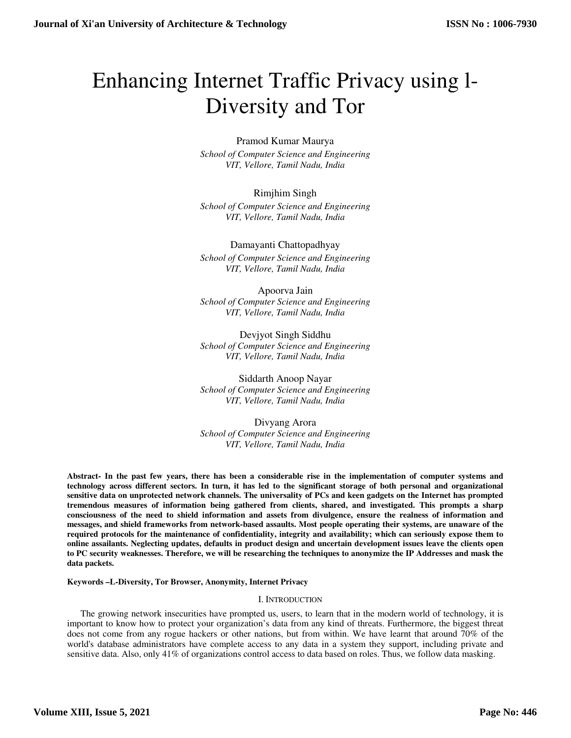# Enhancing Internet Traffic Privacy using l-Diversity and Tor

Pramod Kumar Maurya *School of Computer Science and Engineering VIT, Vellore, Tamil Nadu, India* 

Rimjhim Singh *School of Computer Science and Engineering VIT, Vellore, Tamil Nadu, India* 

Damayanti Chattopadhyay *School of Computer Science and Engineering VIT, Vellore, Tamil Nadu, India* 

Apoorva Jain *School of Computer Science and Engineering VIT, Vellore, Tamil Nadu, India* 

Devjyot Singh Siddhu *School of Computer Science and Engineering VIT, Vellore, Tamil Nadu, India* 

Siddarth Anoop Nayar *School of Computer Science and Engineering VIT, Vellore, Tamil Nadu, India* 

Divyang Arora *School of Computer Science and Engineering VIT, Vellore, Tamil Nadu, India* 

**Abstract- In the past few years, there has been a considerable rise in the implementation of computer systems and technology across different sectors. In turn, it has led to the significant storage of both personal and organizational sensitive data on unprotected network channels. The universality of PCs and keen gadgets on the Internet has prompted tremendous measures of information being gathered from clients, shared, and investigated. This prompts a sharp consciousness of the need to shield information and assets from divulgence, ensure the realness of information and messages, and shield frameworks from network-based assaults. Most people operating their systems, are unaware of the required protocols for the maintenance of confidentiality, integrity and availability; which can seriously expose them to online assailants. Neglecting updates, defaults in product design and uncertain development issues leave the clients open to PC security weaknesses. Therefore, we will be researching the techniques to anonymize the IP Addresses and mask the data packets.**

**Keywords –L-Diversity, Tor Browser, Anonymity, Internet Privacy** 

# I. INTRODUCTION

The growing network insecurities have prompted us, users, to learn that in the modern world of technology, it is important to know how to protect your organization's data from any kind of threats. Furthermore, the biggest threat does not come from any rogue hackers or other nations, but from within. We have learnt that around 70% of the world's database administrators have complete access to any data in a system they support, including private and sensitive data. Also, only 41% of organizations control access to data based on roles. Thus, we follow data masking.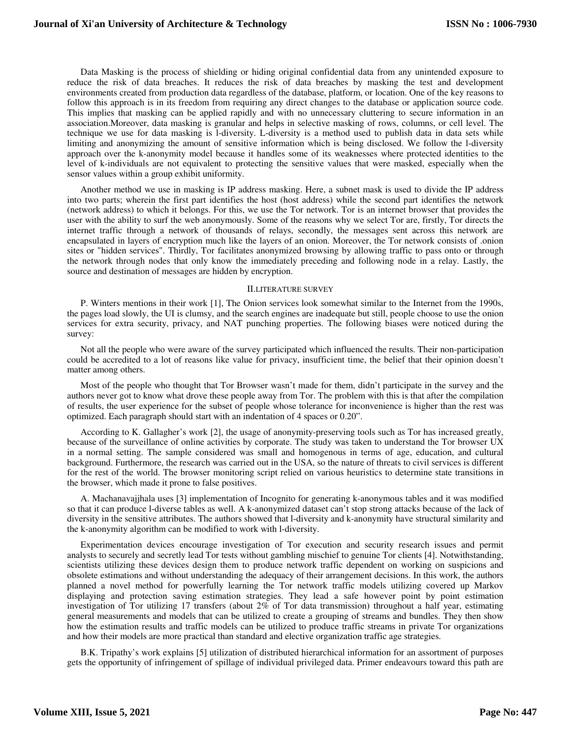Data Masking is the process of shielding or hiding original confidential data from any unintended exposure to reduce the risk of data breaches. It reduces the risk of data breaches by masking the test and development environments created from production data regardless of the database, platform, or location. One of the key reasons to follow this approach is in its freedom from requiring any direct changes to the database or application source code. This implies that masking can be applied rapidly and with no unnecessary cluttering to secure information in an association.Moreover, data masking is granular and helps in selective masking of rows, columns, or cell level. The technique we use for data masking is l-diversity. L-diversity is a method used to publish data in data sets while limiting and anonymizing the amount of sensitive information which is being disclosed. We follow the l-diversity approach over the k-anonymity model because it handles some of its weaknesses where protected identities to the level of k-individuals are not equivalent to protecting the sensitive values that were masked, especially when the sensor values within a group exhibit uniformity.

Another method we use in masking is IP address masking. Here, a subnet mask is used to divide the IP address into two parts; wherein the first part identifies the host (host address) while the second part identifies the network (network address) to which it belongs. For this, we use the Tor network. Tor is an internet browser that provides the user with the ability to surf the web anonymously. Some of the reasons why we select Tor are, firstly, Tor directs the internet traffic through a network of thousands of relays, secondly, the messages sent across this network are encapsulated in layers of encryption much like the layers of an onion. Moreover, the Tor network consists of .onion sites or "hidden services". Thirdly, Tor facilitates anonymized browsing by allowing traffic to pass onto or through the network through nodes that only know the immediately preceding and following node in a relay. Lastly, the source and destination of messages are hidden by encryption.

#### II.LITERATURE SURVEY

P. Winters mentions in their work [1], The Onion services look somewhat similar to the Internet from the 1990s, the pages load slowly, the UI is clumsy, and the search engines are inadequate but still, people choose to use the onion services for extra security, privacy, and NAT punching properties. The following biases were noticed during the survey:

Not all the people who were aware of the survey participated which influenced the results. Their non-participation could be accredited to a lot of reasons like value for privacy, insufficient time, the belief that their opinion doesn't matter among others.

Most of the people who thought that Tor Browser wasn't made for them, didn't participate in the survey and the authors never got to know what drove these people away from Tor. The problem with this is that after the compilation of results, the user experience for the subset of people whose tolerance for inconvenience is higher than the rest was optimized. Each paragraph should start with an indentation of 4 spaces or 0.20".

According to K. Gallagher's work [2], the usage of anonymity-preserving tools such as Tor has increased greatly, because of the surveillance of online activities by corporate. The study was taken to understand the Tor browser UX in a normal setting. The sample considered was small and homogenous in terms of age, education, and cultural background. Furthermore, the research was carried out in the USA, so the nature of threats to civil services is different for the rest of the world. The browser monitoring script relied on various heuristics to determine state transitions in the browser, which made it prone to false positives.

A. Machanavajjhala uses [3] implementation of Incognito for generating k-anonymous tables and it was modified so that it can produce l-diverse tables as well. A k-anonymized dataset can't stop strong attacks because of the lack of diversity in the sensitive attributes. The authors showed that l-diversity and k-anonymity have structural similarity and the k-anonymity algorithm can be modified to work with l-diversity.

Experimentation devices encourage investigation of Tor execution and security research issues and permit analysts to securely and secretly lead Tor tests without gambling mischief to genuine Tor clients [4]. Notwithstanding, scientists utilizing these devices design them to produce network traffic dependent on working on suspicions and obsolete estimations and without understanding the adequacy of their arrangement decisions. In this work, the authors planned a novel method for powerfully learning the Tor network traffic models utilizing covered up Markov displaying and protection saving estimation strategies. They lead a safe however point by point estimation investigation of Tor utilizing 17 transfers (about 2% of Tor data transmission) throughout a half year, estimating general measurements and models that can be utilized to create a grouping of streams and bundles. They then show how the estimation results and traffic models can be utilized to produce traffic streams in private Tor organizations and how their models are more practical than standard and elective organization traffic age strategies.

B.K. Tripathy's work explains [5] utilization of distributed hierarchical information for an assortment of purposes gets the opportunity of infringement of spillage of individual privileged data. Primer endeavours toward this path are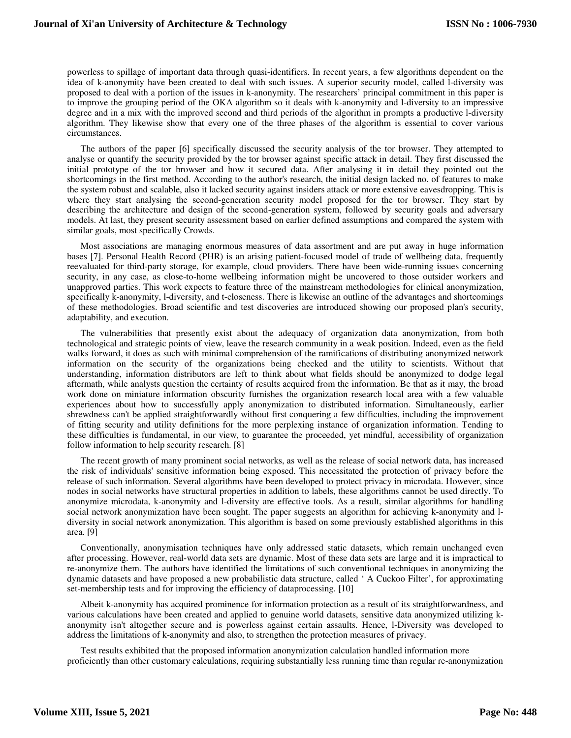powerless to spillage of important data through quasi-identifiers. In recent years, a few algorithms dependent on the idea of k-anonymity have been created to deal with such issues. A superior security model, called l-diversity was proposed to deal with a portion of the issues in k-anonymity. The researchers' principal commitment in this paper is to improve the grouping period of the OKA algorithm so it deals with k-anonymity and l-diversity to an impressive degree and in a mix with the improved second and third periods of the algorithm in prompts a productive l-diversity algorithm. They likewise show that every one of the three phases of the algorithm is essential to cover various circumstances.

The authors of the paper [6] specifically discussed the security analysis of the tor browser. They attempted to analyse or quantify the security provided by the tor browser against specific attack in detail. They first discussed the initial prototype of the tor browser and how it secured data. After analysing it in detail they pointed out the shortcomings in the first method. According to the author's research, the initial design lacked no. of features to make the system robust and scalable, also it lacked security against insiders attack or more extensive eavesdropping. This is where they start analysing the second-generation security model proposed for the tor browser. They start by describing the architecture and design of the second-generation system, followed by security goals and adversary models. At last, they present security assessment based on earlier defined assumptions and compared the system with similar goals, most specifically Crowds.

Most associations are managing enormous measures of data assortment and are put away in huge information bases [7]. Personal Health Record (PHR) is an arising patient-focused model of trade of wellbeing data, frequently reevaluated for third-party storage, for example, cloud providers. There have been wide-running issues concerning security, in any case, as close-to-home wellbeing information might be uncovered to those outsider workers and unapproved parties. This work expects to feature three of the mainstream methodologies for clinical anonymization, specifically k-anonymity, l-diversity, and t-closeness. There is likewise an outline of the advantages and shortcomings of these methodologies. Broad scientific and test discoveries are introduced showing our proposed plan's security, adaptability, and execution.

The vulnerabilities that presently exist about the adequacy of organization data anonymization, from both technological and strategic points of view, leave the research community in a weak position. Indeed, even as the field walks forward, it does as such with minimal comprehension of the ramifications of distributing anonymized network information on the security of the organizations being checked and the utility to scientists. Without that understanding, information distributors are left to think about what fields should be anonymized to dodge legal aftermath, while analysts question the certainty of results acquired from the information. Be that as it may, the broad work done on miniature information obscurity furnishes the organization research local area with a few valuable experiences about how to successfully apply anonymization to distributed information. Simultaneously, earlier shrewdness can't be applied straightforwardly without first conquering a few difficulties, including the improvement of fitting security and utility definitions for the more perplexing instance of organization information. Tending to these difficulties is fundamental, in our view, to guarantee the proceeded, yet mindful, accessibility of organization follow information to help security research. [8]

The recent growth of many prominent social networks, as well as the release of social network data, has increased the risk of individuals' sensitive information being exposed. This necessitated the protection of privacy before the release of such information. Several algorithms have been developed to protect privacy in microdata. However, since nodes in social networks have structural properties in addition to labels, these algorithms cannot be used directly. To anonymize microdata, k-anonymity and l-diversity are effective tools. As a result, similar algorithms for handling social network anonymization have been sought. The paper suggests an algorithm for achieving k-anonymity and ldiversity in social network anonymization. This algorithm is based on some previously established algorithms in this area. [9]

Conventionally, anonymisation techniques have only addressed static datasets, which remain unchanged even after processing. However, real-world data sets are dynamic. Most of these data sets are large and it is impractical to re-anonymize them. The authors have identified the limitations of such conventional techniques in anonymizing the dynamic datasets and have proposed a new probabilistic data structure, called ' A Cuckoo Filter', for approximating set-membership tests and for improving the efficiency of dataprocessing. [10]

Albeit k-anonymity has acquired prominence for information protection as a result of its straightforwardness, and various calculations have been created and applied to genuine world datasets, sensitive data anonymized utilizing kanonymity isn't altogether secure and is powerless against certain assaults. Hence, l-Diversity was developed to address the limitations of k-anonymity and also, to strengthen the protection measures of privacy.

Test results exhibited that the proposed information anonymization calculation handled information more proficiently than other customary calculations, requiring substantially less running time than regular re-anonymization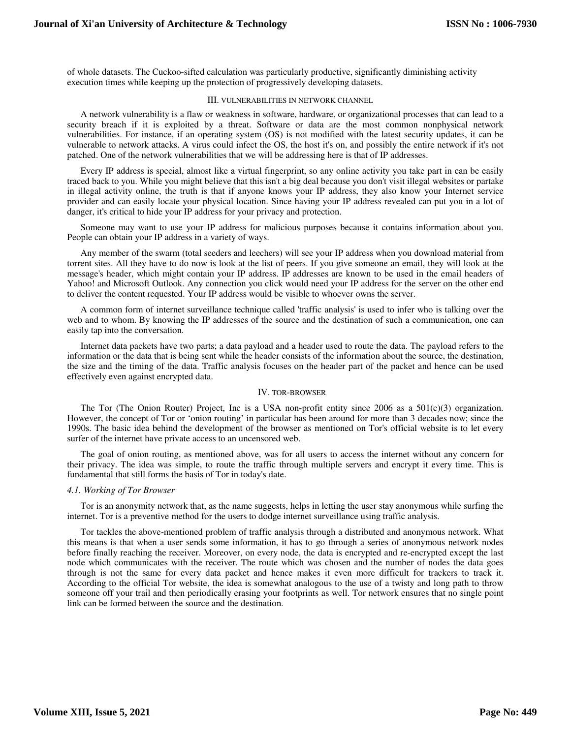of whole datasets. The Cuckoo-sifted calculation was particularly productive, significantly diminishing activity execution times while keeping up the protection of progressively developing datasets.

### III. VULNERABILITIES IN NETWORK CHANNEL

A network vulnerability is a flaw or weakness in software, hardware, or organizational processes that can lead to a security breach if it is exploited by a threat. Software or data are the most common nonphysical network vulnerabilities. For instance, if an operating system (OS) is not modified with the latest security updates, it can be vulnerable to network attacks. A virus could infect the OS, the host it's on, and possibly the entire network if it's not patched. One of the network vulnerabilities that we will be addressing here is that of IP addresses.

Every IP address is special, almost like a virtual fingerprint, so any online activity you take part in can be easily traced back to you. While you might believe that this isn't a big deal because you don't visit illegal websites or partake in illegal activity online, the truth is that if anyone knows your IP address, they also know your Internet service provider and can easily locate your physical location. Since having your IP address revealed can put you in a lot of danger, it's critical to hide your IP address for your privacy and protection.

Someone may want to use your IP address for malicious purposes because it contains information about you. People can obtain your IP address in a variety of ways.

Any member of the swarm (total seeders and leechers) will see your IP address when you download material from torrent sites. All they have to do now is look at the list of peers. If you give someone an email, they will look at the message's header, which might contain your IP address. IP addresses are known to be used in the email headers of Yahoo! and Microsoft Outlook. Any connection you click would need your IP address for the server on the other end to deliver the content requested. Your IP address would be visible to whoever owns the server.

A common form of internet surveillance technique called 'traffic analysis' is used to infer who is talking over the web and to whom. By knowing the IP addresses of the source and the destination of such a communication, one can easily tap into the conversation.

Internet data packets have two parts; a data payload and a header used to route the data. The payload refers to the information or the data that is being sent while the header consists of the information about the source, the destination, the size and the timing of the data. Traffic analysis focuses on the header part of the packet and hence can be used effectively even against encrypted data.

### IV. TOR-BROWSER

The Tor (The Onion Router) Project, Inc is a USA non-profit entity since 2006 as a  $501(c)(3)$  organization. However, the concept of Tor or 'onion routing' in particular has been around for more than 3 decades now; since the 1990s. The basic idea behind the development of the browser as mentioned on Tor's official website is to let every surfer of the internet have private access to an uncensored web.

The goal of onion routing, as mentioned above, was for all users to access the internet without any concern for their privacy. The idea was simple, to route the traffic through multiple servers and encrypt it every time. This is fundamental that still forms the basis of Tor in today's date.

## *4.1. Working of Tor Browser*

Tor is an anonymity network that, as the name suggests, helps in letting the user stay anonymous while surfing the internet. Tor is a preventive method for the users to dodge internet surveillance using traffic analysis.

Tor tackles the above-mentioned problem of traffic analysis through a distributed and anonymous network. What this means is that when a user sends some information, it has to go through a series of anonymous network nodes before finally reaching the receiver. Moreover, on every node, the data is encrypted and re-encrypted except the last node which communicates with the receiver. The route which was chosen and the number of nodes the data goes through is not the same for every data packet and hence makes it even more difficult for trackers to track it. According to the official Tor website, the idea is somewhat analogous to the use of a twisty and long path to throw someone off your trail and then periodically erasing your footprints as well. Tor network ensures that no single point link can be formed between the source and the destination.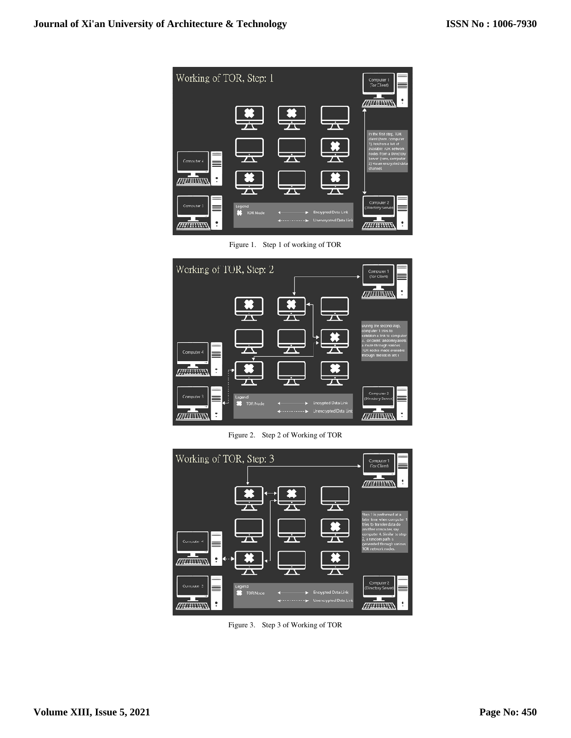

Figure 1. Step 1 of working of TOR



Figure 2. Step 2 of Working of TOR

| Working of TOR, Step: 3 |                    |                       | Computer 1<br>(Tor Client)                                                       |
|-------------------------|--------------------|-----------------------|----------------------------------------------------------------------------------|
|                         |                    |                       | $\cdot$                                                                          |
|                         |                    |                       | <i>m</i> inere                                                                   |
|                         |                    |                       | Step 3 is performed at a                                                         |
|                         |                    |                       | later time when computer 1<br>tries to transfer data do<br>another computer, say |
| Computer 4              |                    |                       | computer 4. Similar to step-<br>2, a rancom path is<br>generated through various |
| <b>ANTIBUR</b>          |                    |                       | TOR network nodes.                                                               |
|                         |                    |                       |                                                                                  |
| Computer 3              | Legend<br>TOR Nade | Encrypted Data Link   | Computer 2<br>(Directory Server)<br>-4                                           |
| 拼开开                     |                    | Unencrypted Data Link |                                                                                  |

Figure 3. Step 3 of Working of TOR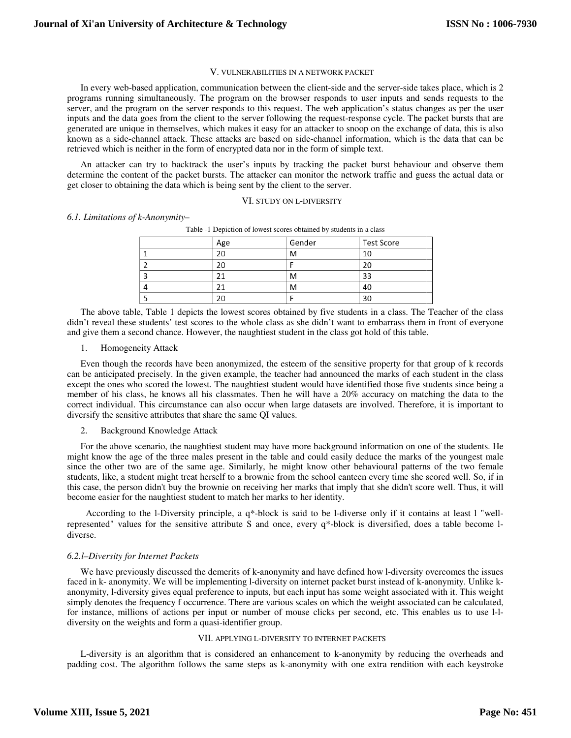#### V V. VULNERABILITIES IN A NETWORK PACKET

In every web-based application, communication between the client-side and the server-side takes place, which is 2 programs running simultaneously. The program on the browser responds to user inputs and sends requests to the server, and the program on the server responds to this request. The web application's status changes as per the user inputs and the data goes from the client to the server following the request-response cycle. The packet bursts that are generated are unique in themselves, which makes it easy for an attacker to snoop on the exchange of data, this is also known as a side-channel attack. These attacks are based on side-channel information, which is the data that can be retrieved which is neither in the form of encrypted data nor in the form of simple text.

An attacker can try to backtrack the user's inputs by tracking the packet burst behaviour and observe them determine the content of the packet bursts. The attacker can monitor the network traffic and guess the actual data or get closer to obtaining the data which is being sent by the client to the server.<br>VI. STUDY ON L-DIVERSITY

#### *6.1. Limitations of k-Anonymity–*

| Table -1 Depiction of lowest scores obtained by students in a class |     |        |                   |  |
|---------------------------------------------------------------------|-----|--------|-------------------|--|
|                                                                     | Age | Gender | <b>Test Score</b> |  |
|                                                                     | 20  | M      | 10                |  |
|                                                                     | 20  |        | 20                |  |
|                                                                     |     | M      | 33                |  |
|                                                                     |     | M      | 40                |  |
|                                                                     | 20  |        | 30                |  |

The above table, Table 1 depicts the lowest scores obtained by five students in a class. The Teacher of the class didn't reveal these students' test scores to the whole class as she didn't want to embarrass them in front of everyone and give them a second chance. However, the naughtiest student in the class got hold of this table.

## Homogeneity Attack

Even though the records have been anonymized, the esteem of the sensitive property for that group of k records I. Homogeneity Attack<br>
1. Homogeneity Attack<br>
Even though the records have been anonymized, the esteem of the sensitive property for that group of k records<br>
can be anticipated precisely. In the given example, the teacher except the ones who scored the lowest. The naughtiest student would have identified those five students since being a member of his class, he knows all his classmates. Then he will have a 20% accuracy on matching the data to the correct individual. This circumstance can also occur when large datasets are involved. Therefore, it is important to diversify the sensitive attributes that share the same QI values.

# 2. Background Knowledge Attack

For the above scenario, the naughtiest student may have more background information on one of the students. He might know the age of the three males present in the table and could easily deduce the marks of the youngest male since the other two are of the same age. Similarly, he might know other behavioural patterns of the two female students, like, a student might treat herself to a brownie from the school canteen every time she scored well. So, if in this case, the person didn't buy the brownie on receiving her marks that imply that she didn't score well. Thus, it will become easier for the naughtiest student to match her marks to her identity.

According to the l-Diversity principle, a q\*-block is said to be l-diverse only if it contains at least l "wellrepresented" values for the sensitive attribute S and once, every  $q^*$ -block is diversified, does a table become 1diverse.

### *6.2.l–Diversity for Internet Packets*

We have previously discussed the demerits of k-anonymity and have defined how l-diversity overcomes the issues faced in k- anonymity. We will be implementing l-diversity on internet packet burst instead of k-anonymity. Unlike kanonymity, l-diversity gives equal preference to inputs, but each input has some weight associated with it. This weight simply denotes the frequency f occurrence. There are various scales on which the weight associated can be calculated, for instance, millions of actions per input or number of mouse clicks per second, etc. This enables us to use 1-1-<br>diversity on the weights and form a quasi-identifier group. diversity on the weights and form a quasi-identifier group.

## VII. APPLYING L-DIVERSITY TO INTERNET PACKETS

L-diversity is an algorithm that is considered an enhancement to k-anonymity by reducing the overheads and padding cost. The algorithm follows the same steps as k-anonymity with one extra rendition with each keystroke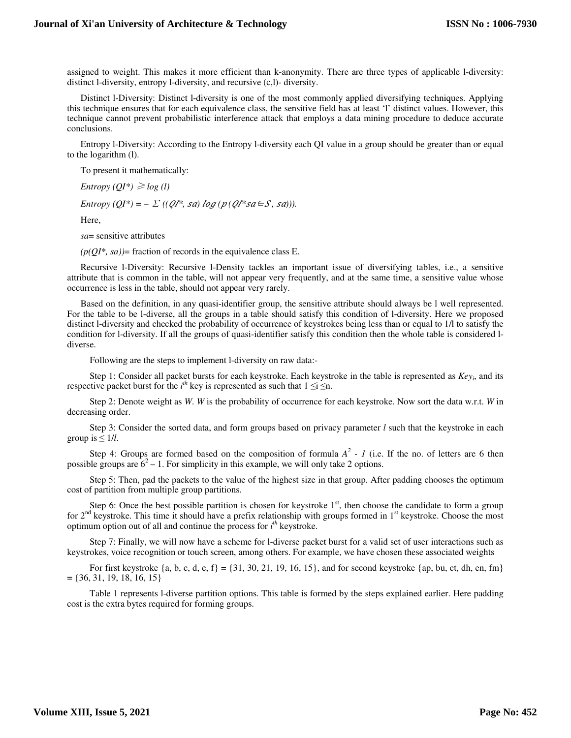assigned to weight. This makes it more efficient than k-anonymity. There are three types of applicable l-diversity: distinct l-diversity, entropy l-diversity, and recursive (c,l)- diversity.

Distinct l-Diversity: Distinct l-diversity is one of the most commonly applied diversifying techniques. Applying this technique ensures that for each equivalence class, the sensitive field has at least 'l' distinct values. However, this technique cannot prevent probabilistic interference attack that employs a data mining procedure to deduce accurate conclusions.

Entropy l-Diversity: According to the Entropy l-diversity each QI value in a group should be greater than or equal to the logarithm (l).

To present it mathematically:

*Entropy*  $(QI^*) \geq log(l)$ 

*Entropy*  $(QI^*) = -\sum ((QI^* , sa) \log (p (QI^* s a \in S, sa))).$ 

Here,

*sa*= sensitive attributes

 $(p(QI^*, sa))$ = fraction of records in the equivalence class E.

Recursive l-Diversity: Recursive l-Density tackles an important issue of diversifying tables, i.e., a sensitive attribute that is common in the table, will not appear very frequently, and at the same time, a sensitive value whose occurrence is less in the table, should not appear very rarely.

Based on the definition, in any quasi-identifier group, the sensitive attribute should always be l well represented. For the table to be l-diverse, all the groups in a table should satisfy this condition of l-diversity. Here we proposed distinct l-diversity and checked the probability of occurrence of keystrokes being less than or equal to 1/l to satisfy the condition for l-diversity. If all the groups of quasi-identifier satisfy this condition then the whole table is considered ldiverse.

Following are the steps to implement l-diversity on raw data:-

 Step 1: Consider all packet bursts for each keystroke. Each keystroke in the table is represented as *Key<sup>i</sup>* , and its respective packet burst for the  $i^{th}$  key is represented as such that  $1 \le i \le n$ .

 Step 2: Denote weight as *W*. *W* is the probability of occurrence for each keystroke. Now sort the data w.r.t. *W* in decreasing order.

 Step 3: Consider the sorted data, and form groups based on privacy parameter *l* such that the keystroke in each group is  $\leq 1/l$ .

Step 4: Groups are formed based on the composition of formula  $A^2$  - 1 (i.e. If the no. of letters are 6 then possible groups are  $6^2 - 1$ . For simplicity in this example, we will only take 2 options.

 Step 5: Then, pad the packets to the value of the highest size in that group. After padding chooses the optimum cost of partition from multiple group partitions.

Step 6: Once the best possible partition is chosen for keystroke  $1<sup>st</sup>$ , then choose the candidate to form a group for  $2<sup>nd</sup>$  keystroke. This time it should have a prefix relationship with groups formed in  $1<sup>st</sup>$  keystroke. Choose the most optimum option out of all and continue the process for *i th* keystroke.

 Step 7: Finally, we will now have a scheme for l-diverse packet burst for a valid set of user interactions such as keystrokes, voice recognition or touch screen, among others. For example, we have chosen these associated weights

For first keystroke  $\{a, b, c, d, e, f\} = \{31, 30, 21, 19, 16, 15\}$ , and for second keystroke  $\{ap, bu, ct, dh, en, fm\}$  $= \{36, 31, 19, 18, 16, 15\}$ 

 Table 1 represents l-diverse partition options. This table is formed by the steps explained earlier. Here padding cost is the extra bytes required for forming groups.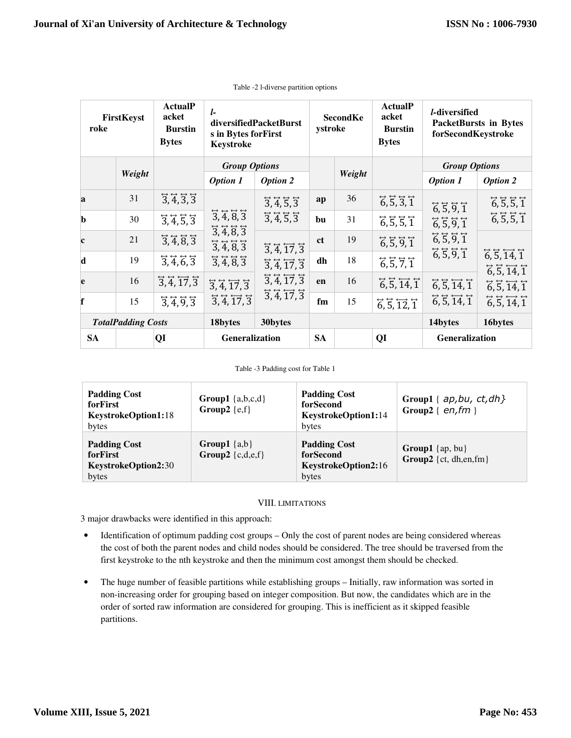| FirstKeyst<br>roke |                           | <b>ActualP</b><br>acket<br><b>Burstin</b><br><b>Bytes</b>                                 | l<br>diversifiedPacketBurst<br>s in Bytes for First<br>Keystroke                                                                                                                                                                       |                                                                                                                                                                                                                                                                                       | <b>SecondKe</b><br>ystroke |    | <b>ActualP</b><br>acket<br><b>Burstin</b><br><b>Bytes</b> | <i>l</i> -diversified<br>PacketBursts in Bytes<br>forSecondKeystroke |                            |
|--------------------|---------------------------|-------------------------------------------------------------------------------------------|----------------------------------------------------------------------------------------------------------------------------------------------------------------------------------------------------------------------------------------|---------------------------------------------------------------------------------------------------------------------------------------------------------------------------------------------------------------------------------------------------------------------------------------|----------------------------|----|-----------------------------------------------------------|----------------------------------------------------------------------|----------------------------|
|                    |                           |                                                                                           | <b>Group Options</b>                                                                                                                                                                                                                   |                                                                                                                                                                                                                                                                                       |                            |    | <b>Group Options</b>                                      |                                                                      |                            |
|                    | Weight                    |                                                                                           | <b>Option 1</b>                                                                                                                                                                                                                        | <b>Option 2</b>                                                                                                                                                                                                                                                                       | Weight                     |    | <b>Option 1</b>                                           | <b>Option 2</b>                                                      |                            |
| a                  | 31                        | $\overline{3},\overline{4},\overline{3},\overline{3}$                                     | $\overline{3}, \overline{4}, \overline{8}, \overline{3}$<br>$\overline{3},\overline{4},\overline{8},\overline{3}$<br>$\overline{3}, \overline{4}, \overline{8}, \overline{3}$<br>$\overline{3},\overline{4},\overline{8},\overline{3}$ | $\overline{3},\overline{4},\overline{5},\overline{3}$<br>$\overline{3}, \overline{4}, \overline{5}, \overline{3}$<br>$\overleftrightarrow{3}, \overline{4}, \overleftrightarrow{17}, \overline{3}$<br>$\overleftrightarrow{3}, \overline{4}, \overrightarrow{17}, \overrightarrow{3}$ | ap                         | 36 | 6, 5, 3, 1                                                | 6, 5, 9, 1<br>6, 5, 9, 1                                             | 6, 5, 5, 1<br>6, 5, 5, 1   |
| $\mathbf b$        | 30                        | $\overline{3},\overline{4},\overline{5},\overline{3}$                                     |                                                                                                                                                                                                                                        |                                                                                                                                                                                                                                                                                       | bu                         | 31 | 6, 5, 5, 1                                                |                                                                      |                            |
| $\mathbf c$        | 21                        | $\overline{3}, \overline{4}, \overline{8}, \overline{3}$                                  |                                                                                                                                                                                                                                        |                                                                                                                                                                                                                                                                                       | <b>ct</b>                  | 19 | 6, 5, 9, 1                                                | 6, 5, 9, 1                                                           |                            |
| d                  | 19                        | $\overline{3},\overline{4},\overline{6},\overline{3}$                                     |                                                                                                                                                                                                                                        |                                                                                                                                                                                                                                                                                       | dh                         | 18 | 6, 5, 7, 1                                                | 6, 5, 9, 1                                                           | 6, 5, 14, 1<br>6, 5, 14, 1 |
| e                  | 16                        | $\overleftrightarrow{3}, \overleftrightarrow{4}, \overrightarrow{17}, \overrightarrow{3}$ | $\overleftrightarrow{3}, \overleftrightarrow{4}, \overrightarrow{17}, \overrightarrow{3}$<br>$\overleftrightarrow{3}, \overleftrightarrow{4}, \overrightarrow{17}, \overrightarrow{3}$                                                 | $\overleftrightarrow{3}, \overleftrightarrow{4}, \overrightarrow{17}, \overrightarrow{3}$<br>$\overline{3}, \overline{4}, \overline{17}, \overline{3}$                                                                                                                                | en                         | 16 | $\vec{6}, \vec{5}, \vec{14}, \vec{1}$                     | $\vec{6}, \vec{5}, \vec{14}, \vec{1}$                                | 6, 5, 14, 1                |
| f                  | 15                        | $\overline{3},\overline{4},\overline{9},\overline{3}$                                     |                                                                                                                                                                                                                                        |                                                                                                                                                                                                                                                                                       | fm                         | 15 | $\vec{6}, \vec{5}, \vec{12}, \vec{1}$                     | $\vec{6}, \vec{5}, \vec{14}, \vec{1}$                                | 6, 5, 14, 1                |
|                    | <b>TotalPadding Costs</b> |                                                                                           | 18bytes                                                                                                                                                                                                                                | 30bytes                                                                                                                                                                                                                                                                               |                            |    |                                                           | 14bytes                                                              | 16bytes                    |
| <b>SA</b>          |                           | QI                                                                                        | Generalization                                                                                                                                                                                                                         |                                                                                                                                                                                                                                                                                       | <b>SA</b>                  |    | QI                                                        | Generalization                                                       |                            |

Table -2 l-diverse partition options

#### Table -3 Padding cost for Table 1

| <b>Padding Cost</b><br>forFirst<br>KeystrokeOption1:18<br>bytes | Group1 $\{a,b,c,d\}$<br>Group2 $\{e,f\}$ | <b>Padding Cost</b><br>forSecond<br>KeystrokeOption1:14<br>bytes | Group1 { $ap, bu, ct, dh$ }<br>Group2 { $en, fm$ }  |
|-----------------------------------------------------------------|------------------------------------------|------------------------------------------------------------------|-----------------------------------------------------|
| <b>Padding Cost</b><br>forFirst<br>KeystrokeOption2:30<br>bytes | Group1 $\{a,b\}$<br>Group2 $\{c,d,e,f\}$ | <b>Padding Cost</b><br>forSecond<br>KeystrokeOption2:16<br>bytes | <b>Group1</b> {ap, bu}<br>Group2 { $ct$ , dh,en,fm} |

# VIII. LIMITATIONS

3 major drawbacks were identified in this approach:

- Identification of optimum padding cost groups Only the cost of parent nodes are being considered whereas the cost of both the parent nodes and child nodes should be considered. The tree should be traversed from the first keystroke to the nth keystroke and then the minimum cost amongst them should be checked.
- The huge number of feasible partitions while establishing groups Initially, raw information was sorted in non-increasing order for grouping based on integer composition. But now, the candidates which are in the order of sorted raw information are considered for grouping. This is inefficient as it skipped feasible partitions.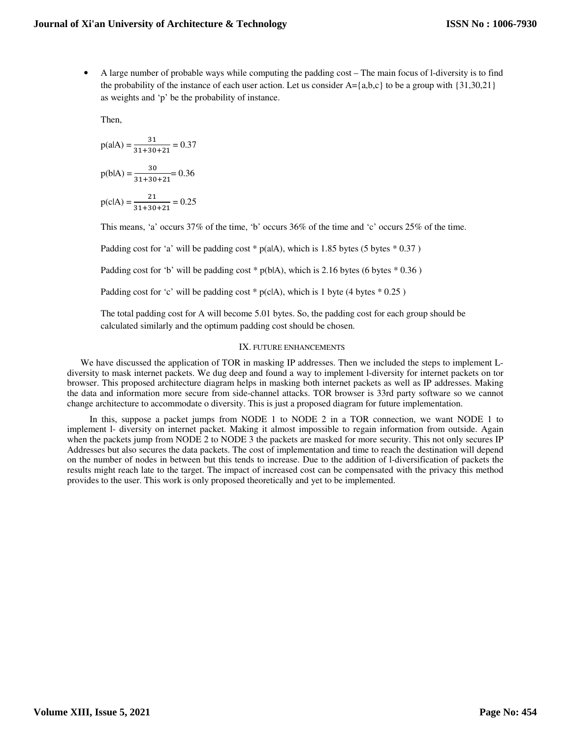• A large number of probable ways while computing the padding cost – The main focus of l-diversity is to find the probability of the instance of each user action. Let us consider  $A = \{a,b,c\}$  to be a group with  $\{31,30,21\}$ as weights and 'p' be the probability of instance.

Then,

$$
p(alA) = \frac{31}{31 + 30 + 21} = 0.37
$$
  

$$
p(blA) = \frac{30}{31 + 30 + 21} = 0.36
$$
  

$$
p(clA) = \frac{21}{31 + 30 + 21} = 0.25
$$

This means, 'a' occurs 37% of the time, 'b' occurs 36% of the time and 'c' occurs 25% of the time.

Padding cost for 'a' will be padding cost  $*$  p(alA), which is 1.85 bytes (5 bytes  $*$  0.37)

Padding cost for 'b' will be padding cost  $*$  p(blA), which is 2.16 bytes (6 bytes  $*$  0.36)

Padding cost for 'c' will be padding cost  $*$  p(c|A), which is 1 byte (4 bytes  $*$  0.25)

The total padding cost for A will become 5.01 bytes. So, the padding cost for each group should be calculated similarly and the optimum padding cost should be chosen.

## IX. FUTURE ENHANCEMENTS

We have discussed the application of TOR in masking IP addresses. Then we included the steps to implement Ldiversity to mask internet packets. We dug deep and found a way to implement l-diversity for internet packets on tor browser. This proposed architecture diagram helps in masking both internet packets as well as IP addresses. Making the data and information more secure from side-channel attacks. TOR browser is 33rd party software so we cannot change architecture to accommodate o diversity. This is just a proposed diagram for future implementation.

 In this, suppose a packet jumps from NODE 1 to NODE 2 in a TOR connection, we want NODE 1 to implement l- diversity on internet packet. Making it almost impossible to regain information from outside. Again when the packets jump from NODE 2 to NODE 3 the packets are masked for more security. This not only secures IP Addresses but also secures the data packets. The cost of implementation and time to reach the destination will depend on the number of nodes in between but this tends to increase. Due to the addition of l-diversification of packets the results might reach late to the target. The impact of increased cost can be compensated with the privacy this method provides to the user. This work is only proposed theoretically and yet to be implemented.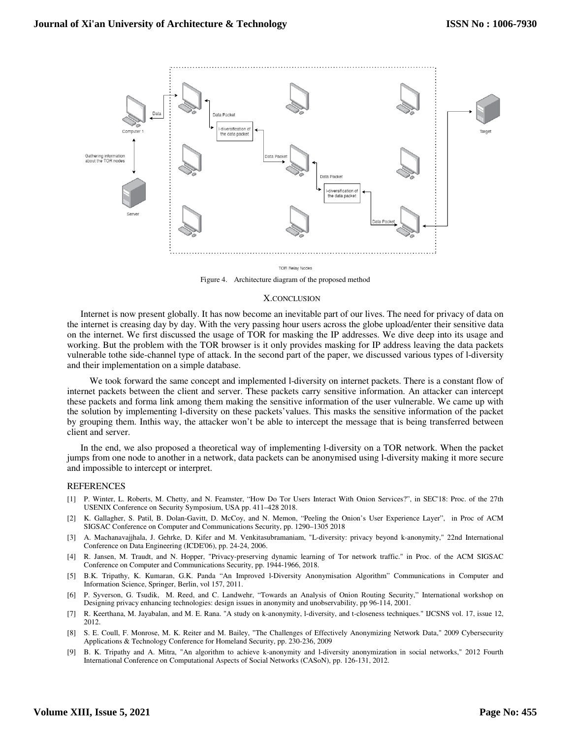

**TOR Relay Nodes** 

Figure 4. Architecture diagram of the proposed method

#### X.CONCLUSION

Internet is now present globally. It has now become an inevitable part of our lives. The need for privacy of data on the internet is creasing day by day. With the very passing hour users across the globe upload/enter their sensitive data on the internet. We first discussed the usage of TOR for masking the IP addresses. We dive deep into its usage and working. But the problem with the TOR browser is it only provides masking for IP address leaving the data packets vulnerable tothe side-channel type of attack. In the second part of the paper, we discussed various types of l-diversity and their implementation on a simple database.

 We took forward the same concept and implemented l-diversity on internet packets. There is a constant flow of internet packets between the client and server. These packets carry sensitive information. An attacker can intercept these packets and forma link among them making the sensitive information of the user vulnerable. We came up with the solution by implementing l-diversity on these packets'values. This masks the sensitive information of the packet by grouping them. Inthis way, the attacker won't be able to intercept the message that is being transferred between client and server.

In the end, we also proposed a theoretical way of implementing l-diversity on a TOR network. When the packet jumps from one node to another in a network, data packets can be anonymised using l-diversity making it more secure and impossible to intercept or interpret.

### REFERENCES

- [1] P. Winter, L. Roberts, M. Chetty, and N. Feamster, "How Do Tor Users Interact With Onion Services?", in SEC'18: Proc. of the 27th USENIX Conference on Security Symposium, USA pp. 411–428 2018.
- [2] K. Gallagher, S. Patil, B. Dolan-Gavitt, D. McCoy, and N. Memon, "Peeling the Onion's User Experience Layer", in Proc of ACM SIGSAC Conference on Computer and Communications Security, pp. 1290–1305 2018
- [3] A. Machanavajjhala, J. Gehrke, D. Kifer and M. Venkitasubramaniam, "L-diversity: privacy beyond k-anonymity," 22nd International Conference on Data Engineering (ICDE'06), pp. 24-24, 2006.
- [4] R. Jansen, M. Traudt, and N. Hopper, "Privacy-preserving dynamic learning of Tor network traffic." in Proc. of the ACM SIGSAC Conference on Computer and Communications Security, pp. 1944-1966, 2018.
- [5] B.K. Tripathy, K. Kumaran, G.K. Panda "An Improved l-Diversity Anonymisation Algorithm" Communications in Computer and Information Science, Springer, Berlin, vol 157, 2011.
- [6] P. Syverson, G. Tsudik, M. Reed, and C. Landwehr, "Towards an Analysis of Onion Routing Security," International workshop on Designing privacy enhancing technologies: design issues in anonymity and unobservability, pp 96-114, 2001.
- [7] R. Keerthana, M. Jayabalan, and M. E. Rana. "A study on k-anonymity, l-diversity, and t-closeness techniques." IJCSNS vol. 17, issue 12, 2012.
- [8] S. E. Coull, F. Monrose, M. K. Reiter and M. Bailey, "The Challenges of Effectively Anonymizing Network Data," 2009 Cybersecurity Applications & Technology Conference for Homeland Security, pp. 230-236, 2009
- [9] B. K. Tripathy and A. Mitra, "An algorithm to achieve k-anonymity and l-diversity anonymization in social networks," 2012 Fourth International Conference on Computational Aspects of Social Networks (CASoN), pp. 126-131, 2012.